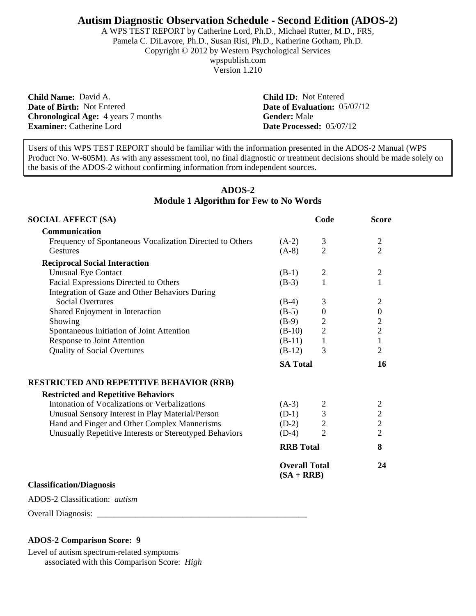### **Autism Diagnostic Observation Schedule - Second Edition (ADOS-2)**

A WPS TEST REPORT by Catherine Lord, Ph.D., Michael Rutter, M.D., FRS, Pamela C. DiLavore, Ph.D., Susan Risi, Ph.D., Katherine Gotham, Ph.D. Copyright © 2012 by Western Psychological Services wpspublish.com Version 1.210

**Child Name:** David A. **Child ID:** Not Entered **Date of Birth:** Not Entered **Date of Evaluation:** 05/07/12 **Chronological Age:** 4 years 7 months **Gender:** Male **Chronological Age:** 4 years 7 months **Examiner:** Catherine Lord **Date Processed:** 05/07/12

Users of this WPS TEST REPORT should be familiar with the information presented in the ADOS-2 Manual (WPS Product No. W-605M). As with any assessment tool, no final diagnostic or treatment decisions should be made solely on the basis of the ADOS-2 without confirming information from independent sources.

# **ADOS-2 Module 1 Algorithm for Few to No Words**

| <b>SOCIAL AFFECT (SA)</b>                                |                                      | Code             | <b>Score</b>                               |
|----------------------------------------------------------|--------------------------------------|------------------|--------------------------------------------|
| Communication                                            |                                      |                  |                                            |
| Frequency of Spontaneous Vocalization Directed to Others | $(A-2)$                              | 3                | $\overline{2}$                             |
| Gestures                                                 | $(A-8)$                              | $\overline{2}$   | $\overline{2}$                             |
| <b>Reciprocal Social Interaction</b>                     |                                      |                  |                                            |
| <b>Unusual Eye Contact</b>                               | $(B-1)$                              | $\overline{2}$   | $\overline{2}$                             |
| Facial Expressions Directed to Others                    | $(B-3)$                              | 1                | $\mathbf{1}$                               |
| Integration of Gaze and Other Behaviors During           |                                      |                  |                                            |
| <b>Social Overtures</b>                                  | $(B-4)$                              | 3                | $\overline{2}$                             |
| Shared Enjoyment in Interaction                          | $(B-5)$                              | $\boldsymbol{0}$ | $\boldsymbol{0}$                           |
| Showing                                                  | $(B-9)$                              | $\overline{c}$   | $\overline{c}$                             |
| Spontaneous Initiation of Joint Attention                | $(B-10)$                             | $\overline{2}$   | $\overline{c}$                             |
| Response to Joint Attention                              | $(B-11)$                             | $\mathbf{1}$     | $\mathbf{1}$                               |
| <b>Quality of Social Overtures</b>                       | $(B-12)$                             | 3                | $\overline{2}$                             |
|                                                          | <b>SA Total</b>                      |                  | 16                                         |
| <b>RESTRICTED AND REPETITIVE BEHAVIOR (RRB)</b>          |                                      |                  |                                            |
| <b>Restricted and Repetitive Behaviors</b>               |                                      |                  |                                            |
| Intonation of Vocalizations or Verbalizations            | $(A-3)$                              |                  |                                            |
| Unusual Sensory Interest in Play Material/Person         | $(D-1)$                              | $\frac{2}{3}$    | $\begin{array}{c} 2 \\ 2 \\ 2 \end{array}$ |
| Hand and Finger and Other Complex Mannerisms             | $(D-2)$                              | $\overline{2}$   |                                            |
| Unusually Repetitive Interests or Stereotyped Behaviors  | $(D-4)$                              | $\overline{2}$   | $\overline{2}$                             |
|                                                          | <b>RRB</b> Total                     |                  | 8                                          |
|                                                          | <b>Overall Total</b><br>$(SA + RRB)$ |                  | 24                                         |
| <b>Classification/Diagnosis</b>                          |                                      |                  |                                            |
| ADOS-2 Classification: <i>autism</i>                     |                                      |                  |                                            |
| <b>Overall Diagnosis:</b>                                |                                      |                  |                                            |

### **ADOS-2 Comparison Score: 9**

Level of autism spectrum-related symptoms associated with this Comparison Score: *High*